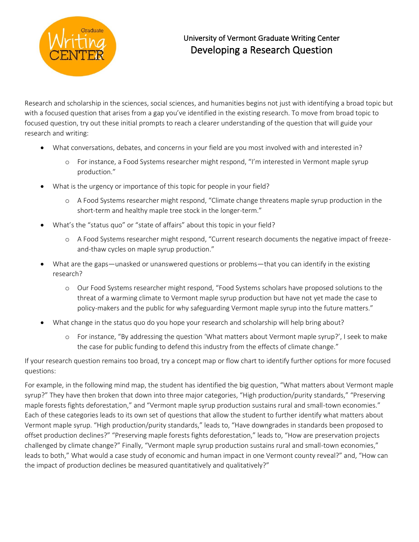

## University of Vermont Graduate Writing Center Developing a Research Question

Research and scholarship in the sciences, social sciences, and humanities begins not just with identifying a broad topic but with a focused question that arises from a gap you've identified in the existing research. To move from broad topic to focused question, try out these initial prompts to reach a clearer understanding of the question that will guide your research and writing:

- What conversations, debates, and concerns in your field are you most involved with and interested in?
	- o For instance, a Food Systems researcher might respond, "I'm interested in Vermont maple syrup production."
- What is the urgency or importance of this topic for people in your field?
	- o A Food Systems researcher might respond, "Climate change threatens maple syrup production in the short-term and healthy maple tree stock in the longer-term."
- What's the "status quo" or "state of affairs" about this topic in your field?
	- o A Food Systems researcher might respond, "Current research documents the negative impact of freezeand-thaw cycles on maple syrup production."
- What are the gaps—unasked or unanswered questions or problems—that you can identify in the existing research?
	- o Our Food Systems researcher might respond, "Food Systems scholars have proposed solutions to the threat of a warming climate to Vermont maple syrup production but have not yet made the case to policy-makers and the public for why safeguarding Vermont maple syrup into the future matters."
- What change in the status quo do you hope your research and scholarship will help bring about?
	- o For instance, "By addressing the question 'What matters about Vermont maple syrup?', I seek to make the case for public funding to defend this industry from the effects of climate change."

If your research question remains too broad, try a concept map or flow chart to identify further options for more focused questions:

For example, in the following mind map, the student has identified the big question, "What matters about Vermont maple syrup?" They have then broken that down into three major categories, "High production/purity standards," "Preserving maple forests fights deforestation," and "Vermont maple syrup production sustains rural and small-town economies." Each of these categories leads to its own set of questions that allow the student to further identify what matters about Vermont maple syrup. "High production/purity standards," leads to, "Have downgrades in standards been proposed to offset production declines?" "Preserving maple forests fights deforestation," leads to, "How are preservation projects challenged by climate change?" Finally, "Vermont maple syrup production sustains rural and small-town economies," leads to both," What would a case study of economic and human impact in one Vermont county reveal?" and, "How can the impact of production declines be measured quantitatively and qualitatively?"